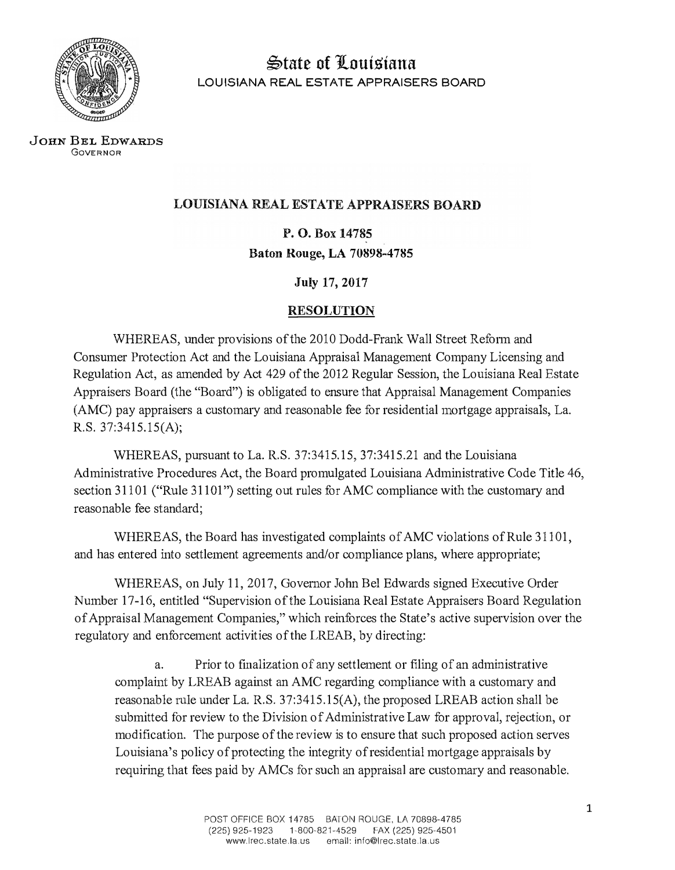

�tate of JLouisiana LOUISIANA REAL ESTATE APPRAISERS BOARD

JOHN BEL EDWARDS GOVERNOR

## LOUISIANA REAL ESTATE APPRAISERS BOARD

P.O. Box 14785 **Baton Rouge, LA 70898-4785** 

**July 17, 2017** 

## **RESOLUTION**

WHEREAS, under provisions of the 2010 Dodd-Frank Wall Street Reform and Consumer Protection Act and the Louisiana Appraisal Management Company Licensing and Regulation Act, as amended by Act 429 of the 2012 Regular Session, the Louisiana Real Estate Appraisers Board (the "Board") is obligated to ensure that Appraisal Management Companies (AMC) pay appraisers a customary and reasonable fee for residential mortgage appraisals, La. R.S. 37:3415.15(A);

WHEREAS, pursuant to La. R.S. 37:3415.15, 37:3415.21 and the Louisiana Administrative Procedures Act, the Board promulgated Louisiana Administrative Code Title 46, section 31101 ("Rule 31101") setting out rules for AMC compliance with the customary and reasonable fee standard;

WHEREAS, the Board has investigated complaints of AMC violations of Rule 31101, and has entered into settlement agreements and/or compliance plans, where appropriate;

WHEREAS, on July 11, 2017, Governor John Bel Edwards signed Executive Order Number 17-16, entitled "Supervision of the Louisiana Real Estate Appraisers Board Regulation of Appraisal Management Companies," which reinforces the State's active supervision over the regulatory and enforcement activities of the LREAB, by directing:

a. Prior to finalization of any settlement or filing of an administrative complaint by LREAB against an AMC regarding compliance with a customary and reasonable rule under La. R.S. 37:3415.15(A), the proposed LREAB action shall be submitted for review to the Division of Administrative Law for approval, rejection, or modification. The purpose of the review is to ensure that such proposed action serves Louisiana's policy of protecting the integrity of residential mortgage appraisals by requiring that fees paid by AMCs for such an appraisal are customary and reasonable.